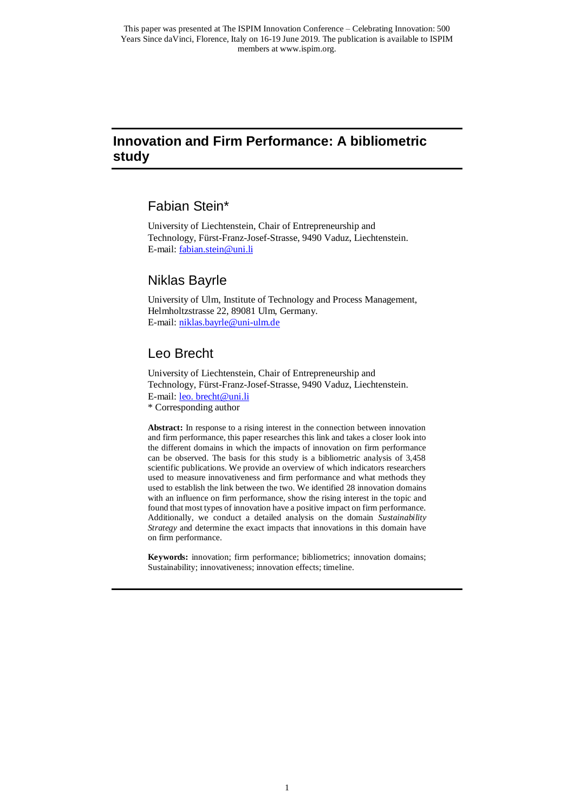# **Innovation and Firm Performance: A bibliometric study**

## Fabian Stein\*

University of Liechtenstein, Chair of Entrepreneurship and Technology, Fürst-Franz-Josef-Strasse, 9490 Vaduz, Liechtenstein. E-mail: [fabian.stein@uni.li](mailto:fabian.stein@uni.li)

# Niklas Bayrle

University of Ulm, Institute of Technology and Process Management, Helmholtzstrasse 22, 89081 Ulm, Germany. E-mail: [niklas.bayrle@uni-ulm.de](file:///C:/Users/fstein/Dropbox/niklas.bayrle@uni-ulm.de)

# Leo Brecht

University of Liechtenstein, Chair of Entrepreneurship and Technology, Fürst-Franz-Josef-Strasse, 9490 Vaduz, Liechtenstein. E-mail: leo. brecht@uni.li

\* Corresponding author

**Abstract:** In response to a rising interest in the connection between innovation and firm performance, this paper researches this link and takes a closer look into the different domains in which the impacts of innovation on firm performance can be observed. The basis for this study is a bibliometric analysis of 3,458 scientific publications. We provide an overview of which indicators researchers used to measure innovativeness and firm performance and what methods they used to establish the link between the two. We identified 28 innovation domains with an influence on firm performance, show the rising interest in the topic and found that most types of innovation have a positive impact on firm performance. Additionally, we conduct a detailed analysis on the domain *Sustainability Strategy* and determine the exact impacts that innovations in this domain have on firm performance.

**Keywords:** innovation; firm performance; bibliometrics; innovation domains; Sustainability; innovativeness; innovation effects; timeline.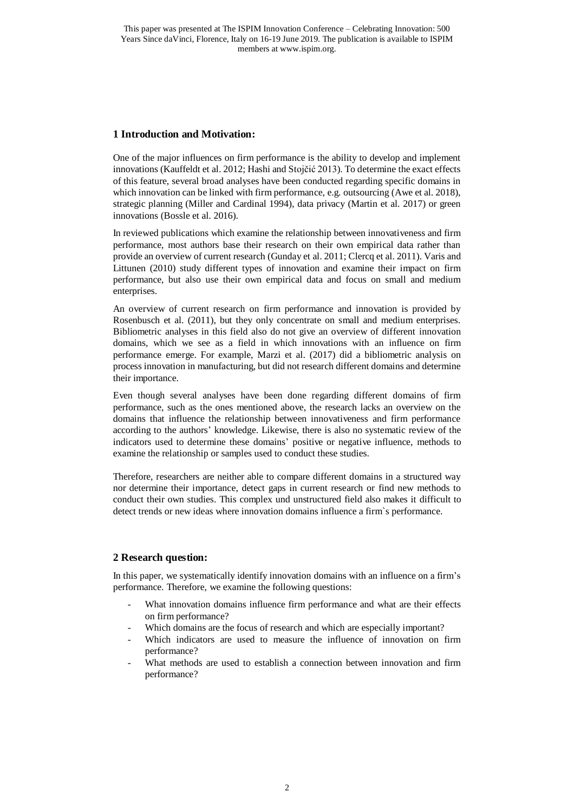## **1 Introduction and Motivation:**

One of the major influences on firm performance is the ability to develop and implement innovations (Kauffeldt et al. 2012; Hashi and Stojčić 2013). To determine the exact effects of this feature, several broad analyses have been conducted regarding specific domains in which innovation can be linked with firm performance, e.g. outsourcing (Awe et al. 2018), strategic planning (Miller and Cardinal 1994), data privacy (Martin et al. 2017) or green innovations (Bossle et al. 2016).

In reviewed publications which examine the relationship between innovativeness and firm performance, most authors base their research on their own empirical data rather than provide an overview of current research (Gunday et al. 2011; Clercq et al. 2011). Varis and Littunen (2010) study different types of innovation and examine their impact on firm performance, but also use their own empirical data and focus on small and medium enterprises.

An overview of current research on firm performance and innovation is provided by Rosenbusch et al. (2011), but they only concentrate on small and medium enterprises. Bibliometric analyses in this field also do not give an overview of different innovation domains, which we see as a field in which innovations with an influence on firm performance emerge. For example, Marzi et al. (2017) did a bibliometric analysis on process innovation in manufacturing, but did not research different domains and determine their importance.

Even though several analyses have been done regarding different domains of firm performance, such as the ones mentioned above, the research lacks an overview on the domains that influence the relationship between innovativeness and firm performance according to the authors' knowledge. Likewise, there is also no systematic review of the indicators used to determine these domains' positive or negative influence, methods to examine the relationship or samples used to conduct these studies.

Therefore, researchers are neither able to compare different domains in a structured way nor determine their importance, detect gaps in current research or find new methods to conduct their own studies. This complex und unstructured field also makes it difficult to detect trends or new ideas where innovation domains influence a firm`s performance.

### **2 Research question:**

In this paper, we systematically identify innovation domains with an influence on a firm's performance. Therefore, we examine the following questions:

- What innovation domains influence firm performance and what are their effects on firm performance?
- Which domains are the focus of research and which are especially important?
- Which indicators are used to measure the influence of innovation on firm performance?
- What methods are used to establish a connection between innovation and firm performance?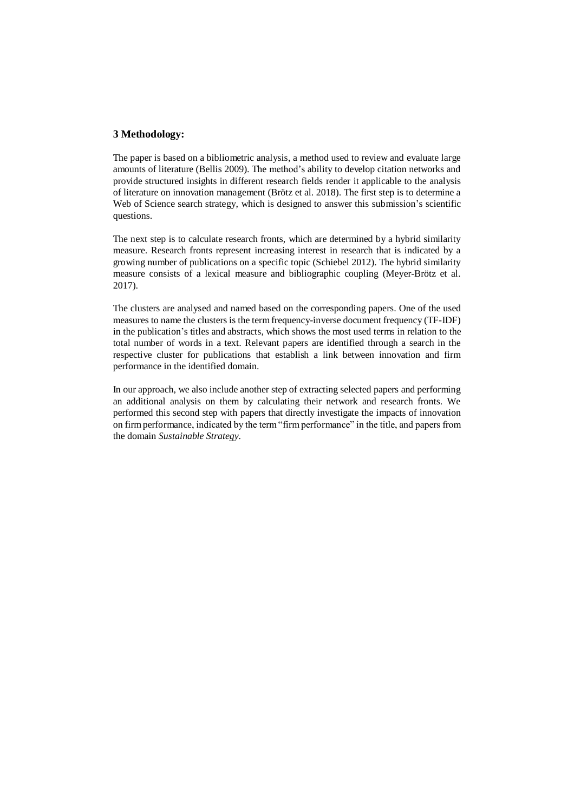### **3 Methodology:**

The paper is based on a bibliometric analysis, a method used to review and evaluate large amounts of literature (Bellis 2009). The method's ability to develop citation networks and provide structured insights in different research fields render it applicable to the analysis of literature on innovation management (Brötz et al. 2018). The first step is to determine a Web of Science search strategy, which is designed to answer this submission's scientific questions.

The next step is to calculate research fronts, which are determined by a hybrid similarity measure. Research fronts represent increasing interest in research that is indicated by a growing number of publications on a specific topic (Schiebel 2012). The hybrid similarity measure consists of a lexical measure and bibliographic coupling (Meyer-Brötz et al. 2017).

The clusters are analysed and named based on the corresponding papers. One of the used measures to name the clusters is the term frequency-inverse document frequency (TF-IDF) in the publication's titles and abstracts, which shows the most used terms in relation to the total number of words in a text. Relevant papers are identified through a search in the respective cluster for publications that establish a link between innovation and firm performance in the identified domain.

In our approach, we also include another step of extracting selected papers and performing an additional analysis on them by calculating their network and research fronts. We performed this second step with papers that directly investigate the impacts of innovation on firm performance, indicated by the term "firm performance" in the title, and papers from the domain *Sustainable Strategy*.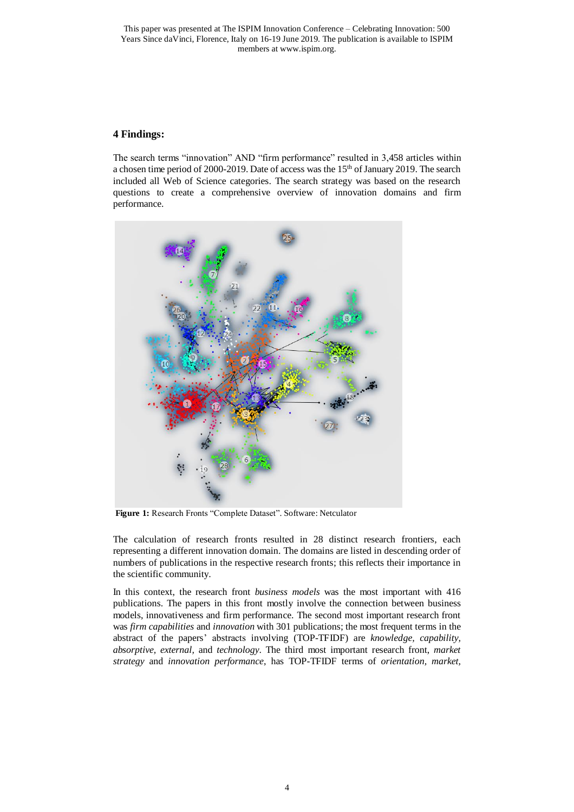This paper was presented at The ISPIM Innovation Conference – Celebrating Innovation: 500 Years Since daVinci, Florence, Italy on 16-19 June 2019. The publication is available to ISPIM members at www.ispim.org.

### **4 Findings:**

The search terms "innovation" AND "firm performance" resulted in 3,458 articles within a chosen time period of 2000-2019. Date of access was the 15th of January 2019. The search included all Web of Science categories. The search strategy was based on the research questions to create a comprehensive overview of innovation domains and firm performance.



**Figure 1:** Research Fronts "Complete Dataset". Software: Netculator

The calculation of research fronts resulted in 28 distinct research frontiers, each representing a different innovation domain. The domains are listed in descending order of numbers of publications in the respective research fronts; this reflects their importance in the scientific community.

In this context, the research front *business models* was the most important with 416 publications. The papers in this front mostly involve the connection between business models, innovativeness and firm performance. The second most important research front was *firm capabilities* and *innovation* with 301 publications; the most frequent terms in the abstract of the papers' abstracts involving (TOP-TFIDF) are *knowledge, capability, absorptive, external,* and *technology*. The third most important research front, *market strategy* and *innovation performance*, has TOP-TFIDF terms of *orientation, market,*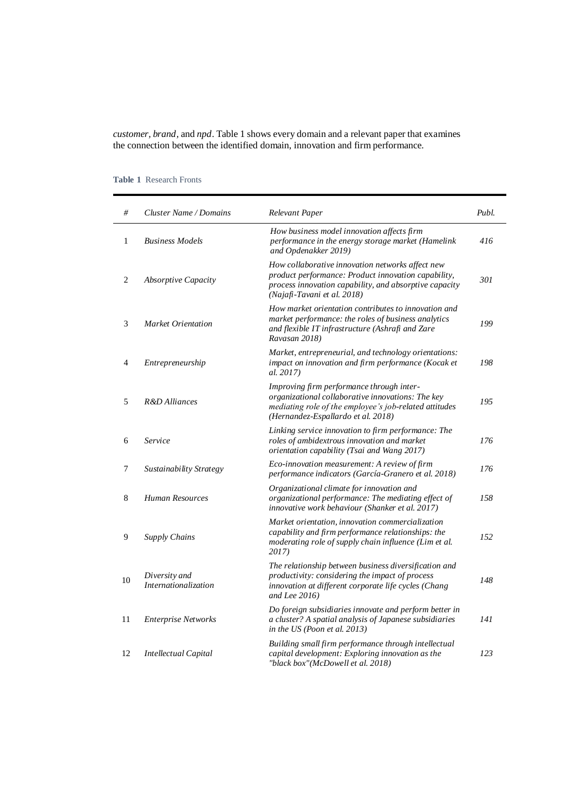*customer, brand,* and *npd*. [Table 1](#page-4-0) shows every domain and a relevant paper that examines the connection between the identified domain, innovation and firm performance.

| #              | <b>Cluster Name / Domains</b>         | Relevant Paper                                                                                                                                                                                   | Publ. |
|----------------|---------------------------------------|--------------------------------------------------------------------------------------------------------------------------------------------------------------------------------------------------|-------|
| 1              | <b>Business Models</b>                | How business model innovation affects firm<br>performance in the energy storage market (Hamelink<br>and Opdenakker 2019)                                                                         | 416   |
| $\overline{c}$ | <i>Absorptive Capacity</i>            | How collaborative innovation networks affect new<br>product performance: Product innovation capability,<br>process innovation capability, and absorptive capacity<br>(Najafi-Tavani et al. 2018) | 301   |
| 3              | Market Orientation                    | How market orientation contributes to innovation and<br>market performance: the roles of business analytics<br>and flexible IT infrastructure (Ashrafi and Zare<br>Ravasan 2018)                 | 199   |
| $\overline{4}$ | Entrepreneurship                      | Market, entrepreneurial, and technology orientations:<br>impact on innovation and firm performance (Kocak et<br>al. 2017)                                                                        | 198   |
| 5              | R&D Alliances                         | Improving firm performance through inter-<br>organizational collaborative innovations: The key<br>mediating role of the employee's job-related attitudes<br>(Hernandez-Espallardo et al. 2018)   | 195   |
| 6              | Service                               | Linking service innovation to firm performance: The<br>roles of ambidextrous innovation and market<br>orientation capability (Tsai and Wang 2017)                                                | 176   |
| 7              | Sustainability Strategy               | Eco-innovation measurement: A review of firm<br>performance indicators (García-Granero et al. 2018)                                                                                              | 176   |
| 8              | <b>Human Resources</b>                | Organizational climate for innovation and<br>organizational performance: The mediating effect of<br>innovative work behaviour (Shanker et al. 2017)                                              | 158   |
| 9              | <b>Supply Chains</b>                  | Market orientation, innovation commercialization<br>capability and firm performance relationships: the<br>moderating role of supply chain influence (Lim et al.<br>2017)                         | 152   |
| 10             | Diversity and<br>Internationalization | The relationship between business diversification and<br>productivity: considering the impact of process<br>innovation at different corporate life cycles (Chang<br>and Lee 2016)                | 148   |
| 11             | <b>Enterprise Networks</b>            | Do foreign subsidiaries innovate and perform better in<br>a cluster? A spatial analysis of Japanese subsidiaries<br>in the US (Poon et al. 2013)                                                 | 141   |
| 12             | Intellectual Capital                  | Building small firm performance through intellectual<br>capital development: Exploring innovation as the<br>"black box"(McDowell et al. 2018)                                                    | 123   |

<span id="page-4-0"></span>**Table 1** Research Fronts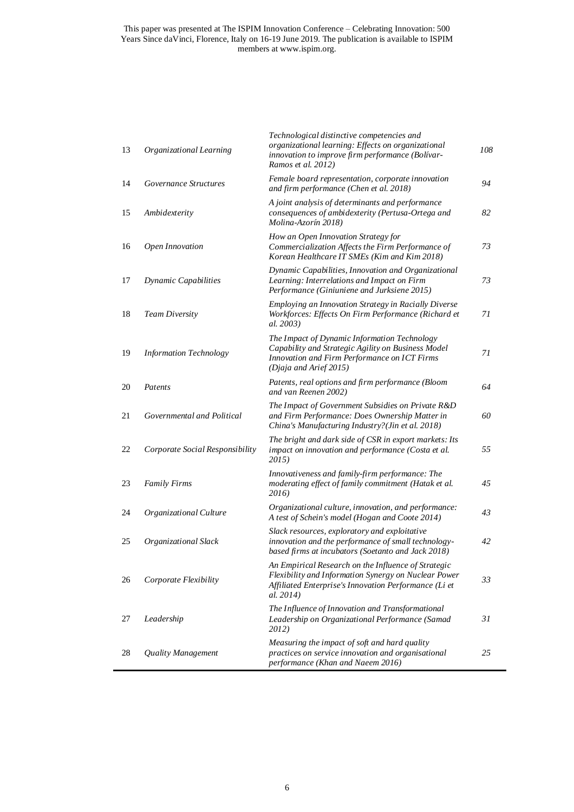| 13 | Organizational Learning         | Technological distinctive competencies and<br>organizational learning: Effects on organizational<br>innovation to improve firm performance (Bolívar-<br>Ramos et al. 2012)        | 108 |
|----|---------------------------------|-----------------------------------------------------------------------------------------------------------------------------------------------------------------------------------|-----|
| 14 | Governance Structures           | Female board representation, corporate innovation<br>and firm performance (Chen et al. 2018)                                                                                      | 94  |
| 15 | Ambidexterity                   | A joint analysis of determinants and performance<br>consequences of ambidexterity (Pertusa-Ortega and<br>Molina-Azorín 2018)                                                      | 82  |
| 16 | Open Innovation                 | How an Open Innovation Strategy for<br>Commercialization Affects the Firm Performance of<br>Korean Healthcare IT SMEs (Kim and Kim 2018)                                          | 73  |
| 17 | Dynamic Capabilities            | Dynamic Capabilities, Innovation and Organizational<br>Learning: Interrelations and Impact on Firm<br>Performance (Giniuniene and Jurksiene 2015)                                 | 73  |
| 18 | Team Diversity                  | Employing an Innovation Strategy in Racially Diverse<br>Workforces: Effects On Firm Performance (Richard et<br>al. 2003)                                                          | 71  |
| 19 | <b>Information Technology</b>   | The Impact of Dynamic Information Technology<br>Capability and Strategic Agility on Business Model<br>Innovation and Firm Performance on ICT Firms<br>(Djaja and Arief 2015)      | 71  |
| 20 | Patents                         | Patents, real options and firm performance (Bloom<br>and van Reenen 2002)                                                                                                         | 64  |
| 21 | Governmental and Political      | The Impact of Government Subsidies on Private R&D<br>and Firm Performance: Does Ownership Matter in<br>China's Manufacturing Industry?(Jin et al. 2018)                           | 60  |
| 22 | Corporate Social Responsibility | The bright and dark side of CSR in export markets: Its<br>impact on innovation and performance (Costa et al.<br>2015)                                                             | 55  |
| 23 | <b>Family Firms</b>             | Innovativeness and family-firm performance: The<br>moderating effect of family commitment (Hatak et al.<br>2016)                                                                  | 45  |
| 24 | Organizational Culture          | Organizational culture, innovation, and performance:<br>A test of Schein's model (Hogan and Coote 2014)                                                                           | 43  |
| 25 | Organizational Slack            | Slack resources, exploratory and exploitative<br>innovation and the performance of small technology-<br>based firms at incubators (Soetanto and Jack 2018)                        | 42  |
| 26 | Corporate Flexibility           | An Empirical Research on the Influence of Strategic<br>Flexibility and Information Synergy on Nuclear Power<br>Affiliated Enterprise's Innovation Performance (Li et<br>al. 2014) | 33  |
| 27 | Leadership                      | The Influence of Innovation and Transformational<br>Leadership on Organizational Performance (Samad<br>2012)                                                                      | 31  |
| 28 | Quality Management              | Measuring the impact of soft and hard quality<br>practices on service innovation and organisational<br>performance (Khan and Naeem 2016)                                          | 25  |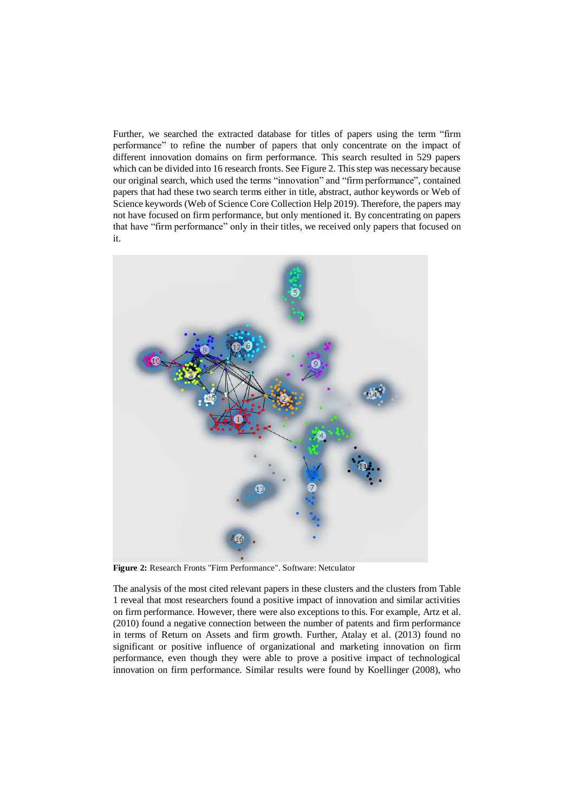Further, we searched the extracted database for titles of papers using the term "firm performance" to refine the number of papers that only concentrate on the impact of different innovation domains on firm performance. This search resulted in 529 papers which can be divided into 16 research fronts. See [Figure 2.](#page-6-0) This step was necessary because our original search, which used the terms "innovation" and "firm performance", contained papers that had these two search terms either in title, abstract, author keywords or Web of Science keywords (Web of Science Core Collection Help 2019). Therefore, the papers may not have focused on firm performance, but only mentioned it. By concentrating on papers that have "firm performance" only in their titles, we received only papers that focused on it.



<span id="page-6-0"></span>**Figure 2:** Research Fronts "Firm Performance". Software: Netculator

The analysis of the most cited relevant papers in these clusters and the clusters fro[m Table](#page-4-0) [1](#page-4-0) reveal that most researchers found a positive impact of innovation and similar activities on firm performance. However, there were also exceptions to this. For example, Artz et al. (2010) found a negative connection between the number of patents and firm performance in terms of Return on Assets and firm growth. Further, Atalay et al. (2013) found no significant or positive influence of organizational and marketing innovation on firm performance, even though they were able to prove a positive impact of technological innovation on firm performance. Similar results were found by Koellinger (2008), who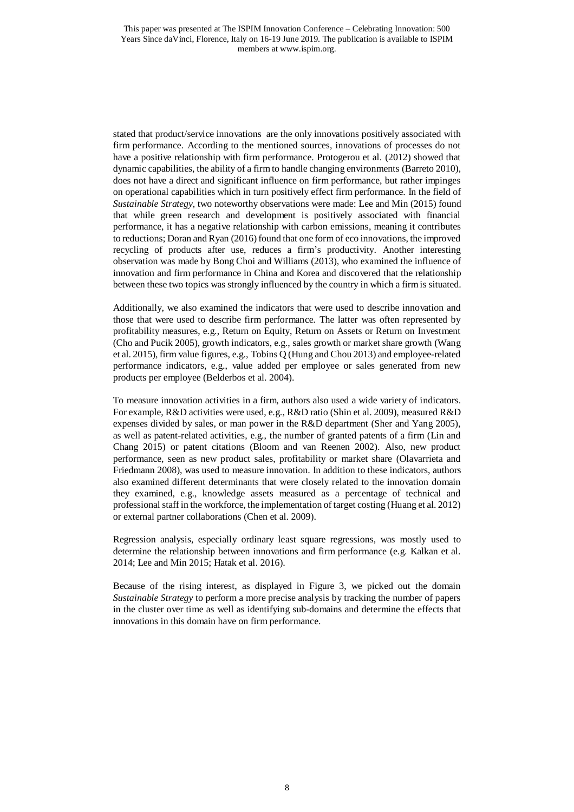stated that product/service innovations are the only innovations positively associated with firm performance. According to the mentioned sources, innovations of processes do not have a positive relationship with firm performance. Protogerou et al. (2012) showed that dynamic capabilities, the ability of a firm to handle changing environments (Barreto 2010), does not have a direct and significant influence on firm performance, but rather impinges on operational capabilities which in turn positively effect firm performance. In the field of *Sustainable Strategy*, two noteworthy observations were made: Lee and Min (2015) found that while green research and development is positively associated with financial performance, it has a negative relationship with carbon emissions, meaning it contributes to reductions; Doran and Ryan (2016) found that one form of eco innovations, the improved recycling of products after use, reduces a firm's productivity. Another interesting observation was made by Bong Choi and Williams (2013), who examined the influence of innovation and firm performance in China and Korea and discovered that the relationship between these two topics was strongly influenced by the country in which a firm is situated.

Additionally, we also examined the indicators that were used to describe innovation and those that were used to describe firm performance. The latter was often represented by profitability measures, e.g., Return on Equity, Return on Assets or Return on Investment (Cho and Pucik 2005), growth indicators, e.g., sales growth or market share growth (Wang et al. 2015), firm value figures, e.g., Tobins Q (Hung and Chou 2013) and employee-related performance indicators, e.g., value added per employee or sales generated from new products per employee (Belderbos et al. 2004).

To measure innovation activities in a firm, authors also used a wide variety of indicators. For example, R&D activities were used, e.g., R&D ratio (Shin et al. 2009), measured R&D expenses divided by sales, or man power in the R&D department (Sher and Yang 2005), as well as patent-related activities, e.g., the number of granted patents of a firm (Lin and Chang 2015) or patent citations (Bloom and van Reenen 2002). Also, new product performance, seen as new product sales, profitability or market share (Olavarrieta and Friedmann 2008), was used to measure innovation. In addition to these indicators, authors also examined different determinants that were closely related to the innovation domain they examined, e.g., knowledge assets measured as a percentage of technical and professional staff in the workforce, the implementation of target costing (Huang et al. 2012) or external partner collaborations (Chen et al. 2009).

Regression analysis, especially ordinary least square regressions, was mostly used to determine the relationship between innovations and firm performance (e.g. Kalkan et al. 2014; Lee and Min 2015; Hatak et al. 2016).

Because of the rising interest, as displayed in [Figure 3,](#page-8-0) we picked out the domain *Sustainable Strategy* to perform a more precise analysis by tracking the number of papers in the cluster over time as well as identifying sub-domains and determine the effects that innovations in this domain have on firm performance.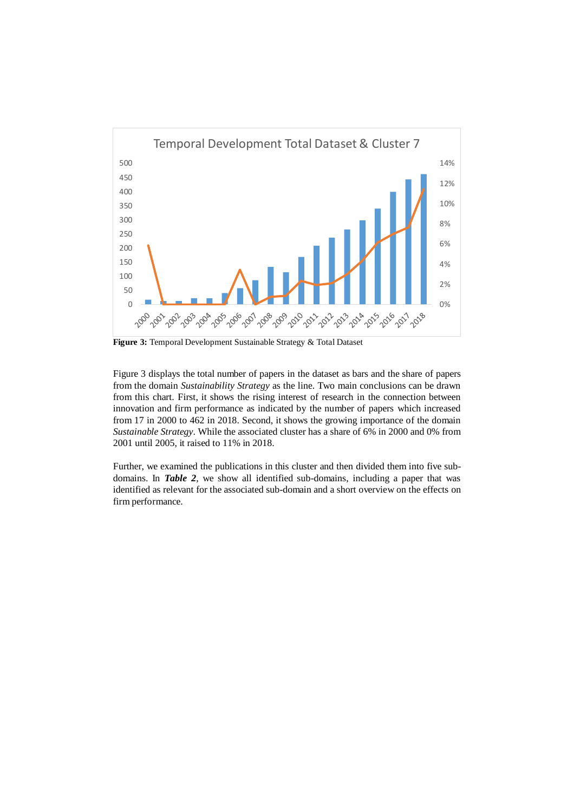

<span id="page-8-0"></span>**Figure 3:** Temporal Development Sustainable Strategy & Total Dataset

[Figure 3](#page-8-0) displays the total number of papers in the dataset as bars and the share of papers from the domain *Sustainability Strategy* as the line. Two main conclusions can be drawn from this chart. First, it shows the rising interest of research in the connection between innovation and firm performance as indicated by the number of papers which increased from 17 in 2000 to 462 in 2018. Second, it shows the growing importance of the domain *Sustainable Strategy*. While the associated cluster has a share of 6% in 2000 and 0% from 2001 until 2005, it raised to 11% in 2018.

Further, we examined the publications in this cluster and then divided them into five subdomains. In *[Table 2](#page-9-0)*, we show all identified sub-domains, including a paper that was identified as relevant for the associated sub-domain and a short overview on the effects on firm performance.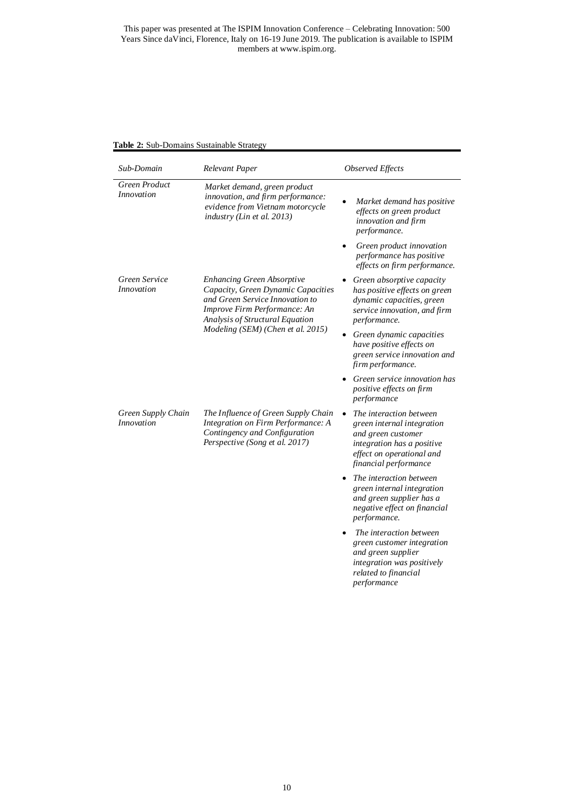#### This paper was presented at The ISPIM Innovation Conference – Celebrating Innovation: 500 Years Since daVinci, Florence, Italy on 16-19 June 2019. The publication is available to ISPIM members at www.ispim.org.

<span id="page-9-0"></span>

|  | Table 2: Sub-Domains Sustainable Strategy |  |
|--|-------------------------------------------|--|
|  |                                           |  |

| Sub-Domain                              | Relevant Paper                                                                                                                                                                                                     | <b>Observed Effects</b>                                                                                                                                         |
|-----------------------------------------|--------------------------------------------------------------------------------------------------------------------------------------------------------------------------------------------------------------------|-----------------------------------------------------------------------------------------------------------------------------------------------------------------|
| Green Product<br><i>Innovation</i>      | Market demand, green product<br>innovation, and firm performance:<br>evidence from Vietnam motorcycle<br>industry (Lin et al. 2013)                                                                                | Market demand has positive<br>effects on green product<br>innovation and firm<br>performance.                                                                   |
|                                         |                                                                                                                                                                                                                    | Green product innovation<br>performance has positive<br>effects on firm performance.                                                                            |
| Green Service<br><i>Innovation</i>      | <b>Enhancing Green Absorptive</b><br>Capacity, Green Dynamic Capacities<br>and Green Service Innovation to<br>Improve Firm Performance: An<br>Analysis of Structural Equation<br>Modeling (SEM) (Chen et al. 2015) | Green absorptive capacity<br>has positive effects on green<br>dynamic capacities, green<br>service innovation, and firm<br>performance.                         |
|                                         |                                                                                                                                                                                                                    | Green dynamic capacities<br>have positive effects on<br>green service innovation and<br>firm performance.                                                       |
|                                         |                                                                                                                                                                                                                    | Green service innovation has<br>positive effects on firm<br>performance                                                                                         |
| Green Supply Chain<br><i>Innovation</i> | The Influence of Green Supply Chain<br>Integration on Firm Performance: A<br>Contingency and Configuration<br>Perspective (Song et al. 2017)                                                                       | The interaction between<br>green internal integration<br>and green customer<br>integration has a positive<br>effect on operational and<br>financial performance |
|                                         |                                                                                                                                                                                                                    | The interaction between<br>green internal integration<br>and green supplier has a<br>negative effect on financial<br>performance.                               |
|                                         |                                                                                                                                                                                                                    | The interaction between<br>green customer integration<br>and green supplier<br>integration was positively<br>related to financial<br>performance                |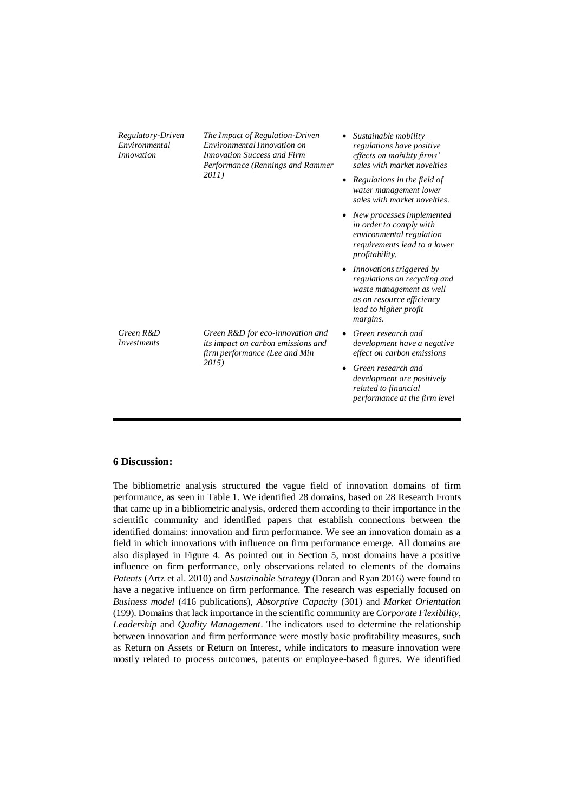| Regulatory-Driven<br>Environmental<br><i>Innovation</i> | The Impact of Regulation-Driven<br>Environmental Innovation on<br><b>Innovation Success and Firm</b><br>Performance (Rennings and Rammer<br>2011) | $\bullet$ | Sustainable mobility<br>regulations have positive<br>effects on mobility firms'<br>sales with market novelties<br>Regulations in the field of<br>water management lower<br>sales with market novelties. |
|---------------------------------------------------------|---------------------------------------------------------------------------------------------------------------------------------------------------|-----------|---------------------------------------------------------------------------------------------------------------------------------------------------------------------------------------------------------|
|                                                         |                                                                                                                                                   |           | New processes implemented<br>in order to comply with<br>environmental regulation<br>requirements lead to a lower<br>profitability.                                                                      |
|                                                         |                                                                                                                                                   |           | Innovations triggered by<br>regulations on recycling and<br>waste management as well<br>as on resource efficiency<br>lead to higher profit<br>margins.                                                  |
| Green R&D<br><i>Investments</i>                         | Green R&D for eco-innovation and<br>its impact on carbon emissions and<br>firm performance (Lee and Min<br>2015)                                  |           | Green research and<br>development have a negative<br>effect on carbon emissions                                                                                                                         |
|                                                         |                                                                                                                                                   |           | Green research and<br>development are positively<br>related to financial<br>performance at the firm level                                                                                               |

#### **6 Discussion:**

The bibliometric analysis structured the vague field of innovation domains of firm performance, as seen in [Table 1.](#page-4-0) We identified 28 domains, based on 28 Research Fronts that came up in a bibliometric analysis, ordered them according to their importance in the scientific community and identified papers that establish connections between the identified domains: innovation and firm performance. We see an innovation domain as a field in which innovations with influence on firm performance emerge. All domains are also displayed in [Figure 4.](#page-11-0) As pointed out in Section 5, most domains have a positive influence on firm performance, only observations related to elements of the domains *Patents* (Artz et al. 2010) and *Sustainable Strategy* (Doran and Ryan 2016) were found to have a negative influence on firm performance. The research was especially focused on *Business model* (416 publications), *Absorptive Capacity* (301) and *Market Orientation*  (199). Domains that lack importance in the scientific community are *Corporate Flexibility*, *Leadership* and *Quality Management*. The indicators used to determine the relationship between innovation and firm performance were mostly basic profitability measures, such as Return on Assets or Return on Interest, while indicators to measure innovation were mostly related to process outcomes, patents or employee-based figures. We identified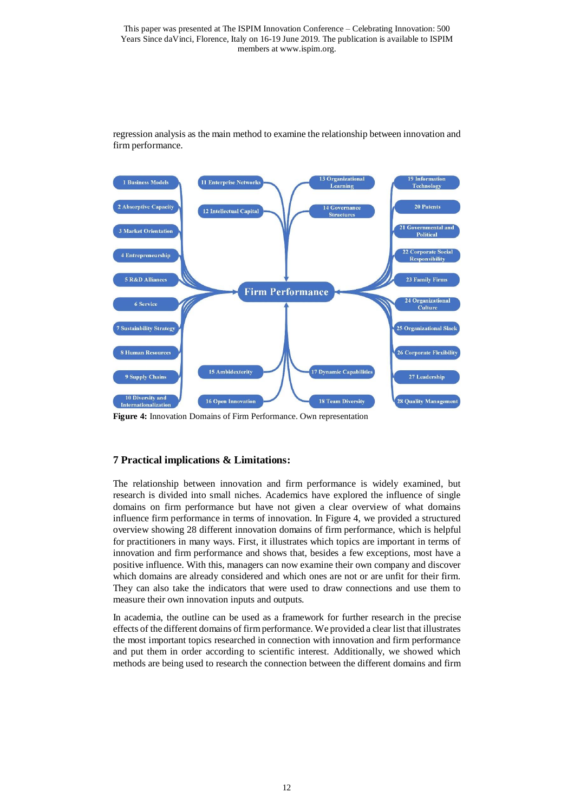

regression analysis as the main method to examine the relationship between innovation and firm performance.

<span id="page-11-0"></span>**Figure 4:** Innovation Domains of Firm Performance. Own representation

### **7 Practical implications & Limitations:**

The relationship between innovation and firm performance is widely examined, but research is divided into small niches. Academics have explored the influence of single domains on firm performance but have not given a clear overview of what domains influence firm performance in terms of innovation. In Figure 4, we provided a structured overview showing 28 different innovation domains of firm performance, which is helpful for practitioners in many ways. First, it illustrates which topics are important in terms of innovation and firm performance and shows that, besides a few exceptions, most have a positive influence. With this, managers can now examine their own company and discover which domains are already considered and which ones are not or are unfit for their firm. They can also take the indicators that were used to draw connections and use them to measure their own innovation inputs and outputs.

In academia, the outline can be used as a framework for further research in the precise effects of the different domains of firm performance. We provided a clear list that illustrates the most important topics researched in connection with innovation and firm performance and put them in order according to scientific interest. Additionally, we showed which methods are being used to research the connection between the different domains and firm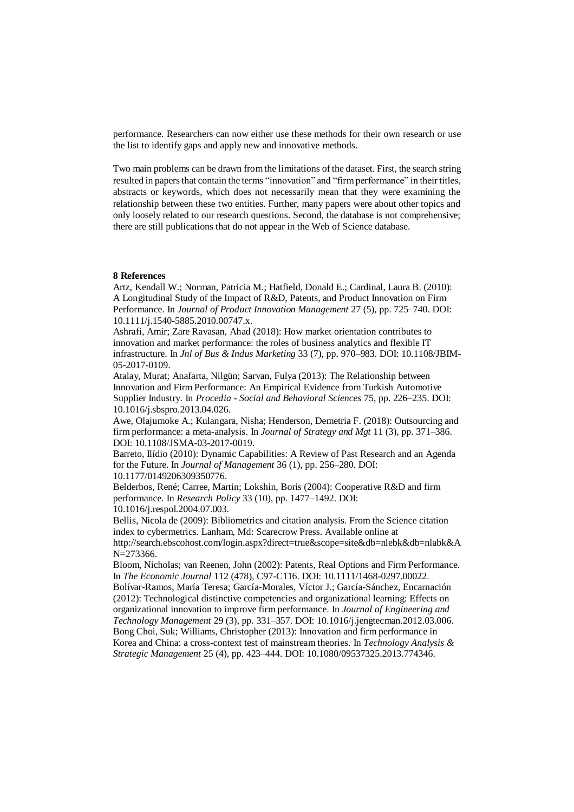performance. Researchers can now either use these methods for their own research or use the list to identify gaps and apply new and innovative methods.

Two main problems can be drawn from the limitations of the dataset. First, the search string resulted in papers that contain the terms "innovation" and "firm performance" in their titles, abstracts or keywords, which does not necessarily mean that they were examining the relationship between these two entities. Further, many papers were about other topics and only loosely related to our research questions. Second, the database is not comprehensive; there are still publications that do not appear in the Web of Science database.

#### **8 References**

Artz, Kendall W.; Norman, Patricia M.; Hatfield, Donald E.; Cardinal, Laura B. (2010): A Longitudinal Study of the Impact of R&D, Patents, and Product Innovation on Firm Performance. In *Journal of Product Innovation Management* 27 (5), pp. 725–740. DOI: 10.1111/j.1540-5885.2010.00747.x.

Ashrafi, Amir; Zare Ravasan, Ahad (2018): How market orientation contributes to innovation and market performance: the roles of business analytics and flexible IT infrastructure. In *Jnl of Bus & Indus Marketing* 33 (7), pp. 970–983. DOI: 10.1108/JBIM-05-2017-0109.

Atalay, Murat; Anafarta, Nilgün; Sarvan, Fulya (2013): The Relationship between Innovation and Firm Performance: An Empirical Evidence from Turkish Automotive Supplier Industry. In *Procedia - Social and Behavioral Sciences* 75, pp. 226–235. DOI: 10.1016/j.sbspro.2013.04.026.

Awe, Olajumoke A.; Kulangara, Nisha; Henderson, Demetria F. (2018): Outsourcing and firm performance: a meta-analysis. In *Journal of Strategy and Mgt* 11 (3), pp. 371–386. DOI: 10.1108/JSMA-03-2017-0019.

Barreto, Ilídio (2010): Dynamic Capabilities: A Review of Past Research and an Agenda for the Future. In *Journal of Management* 36 (1), pp. 256–280. DOI: 10.1177/0149206309350776.

Belderbos, René; Carree, Martin; Lokshin, Boris (2004): Cooperative R&D and firm performance. In *Research Policy* 33 (10), pp. 1477–1492. DOI: 10.1016/j.respol.2004.07.003.

Bellis, Nicola de (2009): Bibliometrics and citation analysis. From the Science citation index to cybermetrics. Lanham, Md: Scarecrow Press. Available online at http://search.ebscohost.com/login.aspx?direct=true&scope=site&db=nlebk&db=nlabk&A N=273366.

Bloom, Nicholas; van Reenen, John (2002): Patents, Real Options and Firm Performance. In *The Economic Journal* 112 (478), C97-C116. DOI: 10.1111/1468-0297.00022.

Bolívar-Ramos, María Teresa; García-Morales, Víctor J.; García-Sánchez, Encarnación (2012): Technological distinctive competencies and organizational learning: Effects on organizational innovation to improve firm performance. In *Journal of Engineering and Technology Management* 29 (3), pp. 331–357. DOI: 10.1016/j.jengtecman.2012.03.006. Bong Choi, Suk; Williams, Christopher (2013): Innovation and firm performance in Korea and China: a cross-context test of mainstream theories. In *Technology Analysis & Strategic Management* 25 (4), pp. 423–444. DOI: 10.1080/09537325.2013.774346.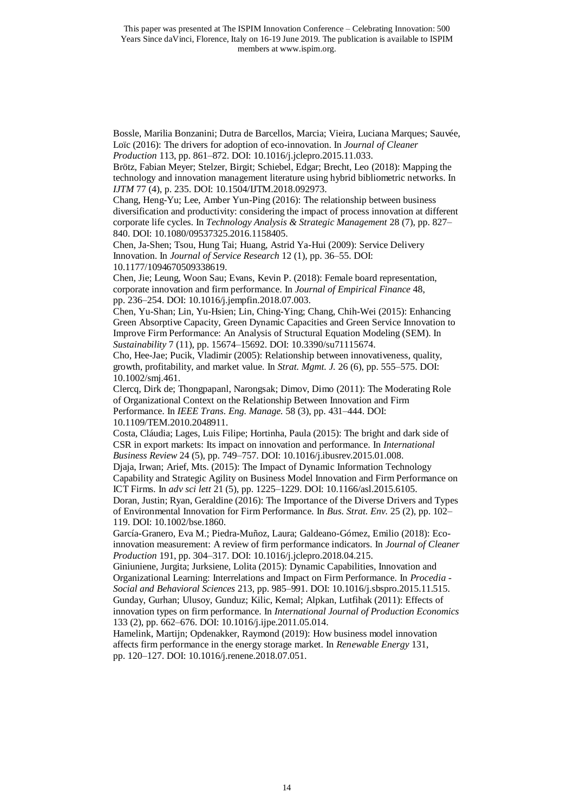Bossle, Marilia Bonzanini; Dutra de Barcellos, Marcia; Vieira, Luciana Marques; Sauvée, Loïc (2016): The drivers for adoption of eco-innovation. In *Journal of Cleaner Production* 113, pp. 861–872. DOI: 10.1016/j.jclepro.2015.11.033.

Brötz, Fabian Meyer; Stelzer, Birgit; Schiebel, Edgar; Brecht, Leo (2018): Mapping the technology and innovation management literature using hybrid bibliometric networks. In *IJTM* 77 (4), p. 235. DOI: 10.1504/IJTM.2018.092973.

Chang, Heng-Yu; Lee, Amber Yun-Ping (2016): The relationship between business diversification and productivity: considering the impact of process innovation at different corporate life cycles. In *Technology Analysis & Strategic Management* 28 (7), pp. 827– 840. DOI: 10.1080/09537325.2016.1158405.

Chen, Ja-Shen; Tsou, Hung Tai; Huang, Astrid Ya-Hui (2009): Service Delivery Innovation. In *Journal of Service Research* 12 (1), pp. 36–55. DOI: 10.1177/1094670509338619.

Chen, Jie; Leung, Woon Sau; Evans, Kevin P. (2018): Female board representation, corporate innovation and firm performance. In *Journal of Empirical Finance* 48, pp. 236–254. DOI: 10.1016/j.jempfin.2018.07.003.

Chen, Yu-Shan; Lin, Yu-Hsien; Lin, Ching-Ying; Chang, Chih-Wei (2015): Enhancing Green Absorptive Capacity, Green Dynamic Capacities and Green Service Innovation to Improve Firm Performance: An Analysis of Structural Equation Modeling (SEM). In *Sustainability* 7 (11), pp. 15674–15692. DOI: 10.3390/su71115674.

Cho, Hee-Jae; Pucik, Vladimir (2005): Relationship between innovativeness, quality, growth, profitability, and market value. In *Strat. Mgmt. J.* 26 (6), pp. 555–575. DOI: 10.1002/smj.461.

Clercq, Dirk de; Thongpapanl, Narongsak; Dimov, Dimo (2011): The Moderating Role of Organizational Context on the Relationship Between Innovation and Firm Performance. In *IEEE Trans. Eng. Manage.* 58 (3), pp. 431–444. DOI: 10.1109/TEM.2010.2048911.

Costa, Cláudia; Lages, Luis Filipe; Hortinha, Paula (2015): The bright and dark side of CSR in export markets: Its impact on innovation and performance. In *International Business Review* 24 (5), pp. 749–757. DOI: 10.1016/j.ibusrev.2015.01.008.

Djaja, Irwan; Arief, Mts. (2015): The Impact of Dynamic Information Technology Capability and Strategic Agility on Business Model Innovation and Firm Performance on ICT Firms. In *adv sci lett* 21 (5), pp. 1225–1229. DOI: 10.1166/asl.2015.6105.

Doran, Justin; Ryan, Geraldine (2016): The Importance of the Diverse Drivers and Types of Environmental Innovation for Firm Performance. In *Bus. Strat. Env.* 25 (2), pp. 102– 119. DOI: 10.1002/bse.1860.

García-Granero, Eva M.; Piedra-Muñoz, Laura; Galdeano-Gómez, Emilio (2018): Ecoinnovation measurement: A review of firm performance indicators. In *Journal of Cleaner Production* 191, pp. 304–317. DOI: 10.1016/j.jclepro.2018.04.215.

Giniuniene, Jurgita; Jurksiene, Lolita (2015): Dynamic Capabilities, Innovation and Organizational Learning: Interrelations and Impact on Firm Performance. In *Procedia - Social and Behavioral Sciences* 213, pp. 985–991. DOI: 10.1016/j.sbspro.2015.11.515. Gunday, Gurhan; Ulusoy, Gunduz; Kilic, Kemal; Alpkan, Lutfihak (2011): Effects of innovation types on firm performance. In *International Journal of Production Economics*  133 (2), pp. 662–676. DOI: 10.1016/j.ijpe.2011.05.014.

Hamelink, Martijn; Opdenakker, Raymond (2019): How business model innovation affects firm performance in the energy storage market. In *Renewable Energy* 131, pp. 120–127. DOI: 10.1016/j.renene.2018.07.051.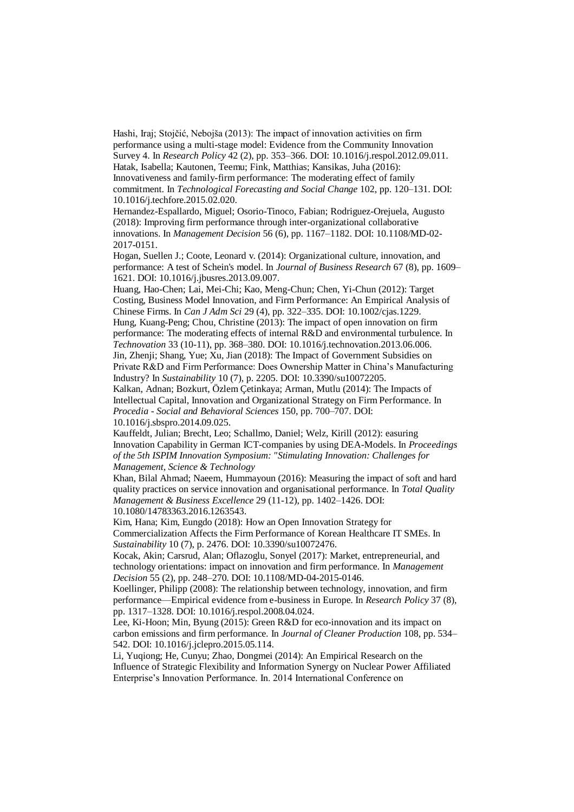Hashi, Iraj; Stojčić, Nebojša (2013): The impact of innovation activities on firm performance using a multi-stage model: Evidence from the Community Innovation Survey 4. In *Research Policy* 42 (2), pp. 353–366. DOI: 10.1016/j.respol.2012.09.011. Hatak, Isabella; Kautonen, Teemu; Fink, Matthias; Kansikas, Juha (2016): Innovativeness and family-firm performance: The moderating effect of family commitment. In *Technological Forecasting and Social Change* 102, pp. 120–131. DOI: 10.1016/j.techfore.2015.02.020.

Hernandez-Espallardo, Miguel; Osorio-Tinoco, Fabian; Rodriguez-Orejuela, Augusto (2018): Improving firm performance through inter-organizational collaborative innovations. In *Management Decision* 56 (6), pp. 1167–1182. DOI: 10.1108/MD-02- 2017-0151.

Hogan, Suellen J.; Coote, Leonard v. (2014): Organizational culture, innovation, and performance: A test of Schein's model. In *Journal of Business Research* 67 (8), pp. 1609– 1621. DOI: 10.1016/j.jbusres.2013.09.007.

Huang, Hao-Chen; Lai, Mei-Chi; Kao, Meng-Chun; Chen, Yi-Chun (2012): Target Costing, Business Model Innovation, and Firm Performance: An Empirical Analysis of Chinese Firms. In *Can J Adm Sci* 29 (4), pp. 322–335. DOI: 10.1002/cjas.1229. Hung, Kuang-Peng; Chou, Christine (2013): The impact of open innovation on firm performance: The moderating effects of internal R&D and environmental turbulence. In *Technovation* 33 (10-11), pp. 368–380. DOI: 10.1016/j.technovation.2013.06.006. Jin, Zhenji; Shang, Yue; Xu, Jian (2018): The Impact of Government Subsidies on Private R&D and Firm Performance: Does Ownership Matter in China's Manufacturing Industry? In *Sustainability* 10 (7), p. 2205. DOI: 10.3390/su10072205.

Kalkan, Adnan; Bozkurt, Özlem Çetinkaya; Arman, Mutlu (2014): The Impacts of Intellectual Capital, Innovation and Organizational Strategy on Firm Performance. In *Procedia - Social and Behavioral Sciences* 150, pp. 700–707. DOI: 10.1016/j.sbspro.2014.09.025.

Kauffeldt, Julian; Brecht, Leo; Schallmo, Daniel; Welz, Kirill (2012): easuring Innovation Capability in German ICT-companies by using DEA-Models. In *Proceedings of the 5th ISPIM Innovation Symposium: "Stimulating Innovation: Challenges for Management, Science & Technology*

Khan, Bilal Ahmad; Naeem, Hummayoun (2016): Measuring the impact of soft and hard quality practices on service innovation and organisational performance. In *Total Quality Management & Business Excellence* 29 (11-12), pp. 1402–1426. DOI: 10.1080/14783363.2016.1263543.

Kim, Hana; Kim, Eungdo (2018): How an Open Innovation Strategy for Commercialization Affects the Firm Performance of Korean Healthcare IT SMEs. In *Sustainability* 10 (7), p. 2476. DOI: 10.3390/su10072476.

Kocak, Akin; Carsrud, Alan; Oflazoglu, Sonyel (2017): Market, entrepreneurial, and technology orientations: impact on innovation and firm performance. In *Management Decision* 55 (2), pp. 248–270. DOI: 10.1108/MD-04-2015-0146.

Koellinger, Philipp (2008): The relationship between technology, innovation, and firm performance—Empirical evidence from e-business in Europe. In *Research Policy* 37 (8), pp. 1317–1328. DOI: 10.1016/j.respol.2008.04.024.

Lee, Ki-Hoon; Min, Byung (2015): Green R&D for eco-innovation and its impact on carbon emissions and firm performance. In *Journal of Cleaner Production* 108, pp. 534– 542. DOI: 10.1016/j.jclepro.2015.05.114.

Li, Yuqiong; He, Cunyu; Zhao, Dongmei (2014): An Empirical Research on the Influence of Strategic Flexibility and Information Synergy on Nuclear Power Affiliated Enterprise's Innovation Performance. In. 2014 International Conference on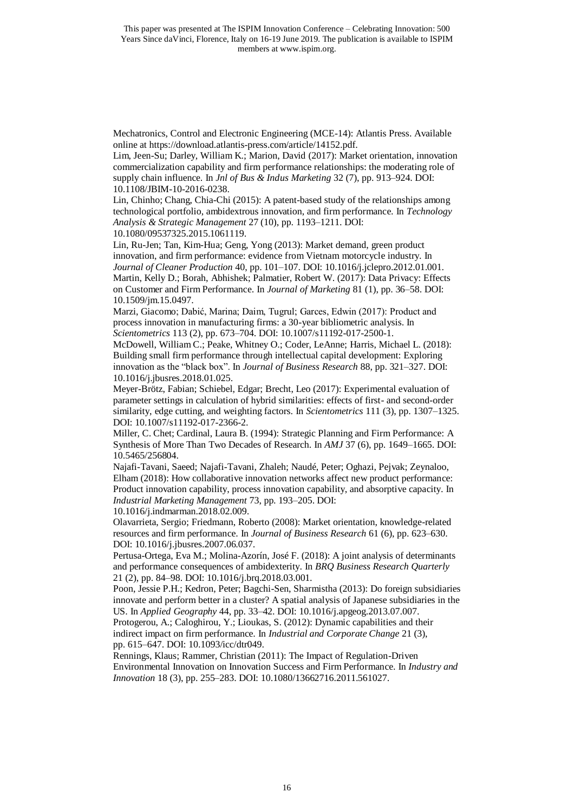Mechatronics, Control and Electronic Engineering (MCE-14): Atlantis Press. Available online at https://download.atlantis-press.com/article/14152.pdf.

Lim, Jeen-Su; Darley, William K.; Marion, David (2017): Market orientation, innovation commercialization capability and firm performance relationships: the moderating role of supply chain influence. In *Jnl of Bus & Indus Marketing* 32 (7), pp. 913–924. DOI: 10.1108/JBIM-10-2016-0238.

Lin, Chinho; Chang, Chia-Chi (2015): A patent-based study of the relationships among technological portfolio, ambidextrous innovation, and firm performance. In *Technology Analysis & Strategic Management* 27 (10), pp. 1193–1211. DOI: 10.1080/09537325.2015.1061119.

Lin, Ru-Jen; Tan, Kim-Hua; Geng, Yong (2013): Market demand, green product innovation, and firm performance: evidence from Vietnam motorcycle industry. In *Journal of Cleaner Production* 40, pp. 101–107. DOI: 10.1016/j.jclepro.2012.01.001. Martin, Kelly D.; Borah, Abhishek; Palmatier, Robert W. (2017): Data Privacy: Effects on Customer and Firm Performance. In *Journal of Marketing* 81 (1), pp. 36–58. DOI: 10.1509/jm.15.0497.

Marzi, Giacomo; Dabić, Marina; Daim, Tugrul; Garces, Edwin (2017): Product and process innovation in manufacturing firms: a 30-year bibliometric analysis. In *Scientometrics* 113 (2), pp. 673–704. DOI: 10.1007/s11192-017-2500-1.

McDowell, William C.; Peake, Whitney O.; Coder, LeAnne; Harris, Michael L. (2018): Building small firm performance through intellectual capital development: Exploring innovation as the "black box". In *Journal of Business Research* 88, pp. 321–327. DOI: 10.1016/j.jbusres.2018.01.025.

Meyer-Brötz, Fabian; Schiebel, Edgar; Brecht, Leo (2017): Experimental evaluation of parameter settings in calculation of hybrid similarities: effects of first- and second-order similarity, edge cutting, and weighting factors. In *Scientometrics* 111 (3), pp. 1307–1325. DOI: 10.1007/s11192-017-2366-2.

Miller, C. Chet; Cardinal, Laura B. (1994): Strategic Planning and Firm Performance: A Synthesis of More Than Two Decades of Research. In *AMJ* 37 (6), pp. 1649–1665. DOI: 10.5465/256804.

Najafi-Tavani, Saeed; Najafi-Tavani, Zhaleh; Naudé, Peter; Oghazi, Pejvak; Zeynaloo, Elham (2018): How collaborative innovation networks affect new product performance: Product innovation capability, process innovation capability, and absorptive capacity. In *Industrial Marketing Management* 73, pp. 193–205. DOI:

10.1016/j.indmarman.2018.02.009.

Olavarrieta, Sergio; Friedmann, Roberto (2008): Market orientation, knowledge-related resources and firm performance. In *Journal of Business Research* 61 (6), pp. 623–630. DOI: 10.1016/j.jbusres.2007.06.037.

Pertusa-Ortega, Eva M.; Molina-Azorín, José F. (2018): A joint analysis of determinants and performance consequences of ambidexterity. In *BRQ Business Research Quarterly*  21 (2), pp. 84–98. DOI: 10.1016/j.brq.2018.03.001.

Poon, Jessie P.H.; Kedron, Peter; Bagchi-Sen, Sharmistha (2013): Do foreign subsidiaries innovate and perform better in a cluster? A spatial analysis of Japanese subsidiaries in the US. In *Applied Geography* 44, pp. 33–42. DOI: 10.1016/j.apgeog.2013.07.007.

Protogerou, A.; Caloghirou, Y.; Lioukas, S. (2012): Dynamic capabilities and their indirect impact on firm performance. In *Industrial and Corporate Change* 21 (3), pp. 615–647. DOI: 10.1093/icc/dtr049.

Rennings, Klaus; Rammer, Christian (2011): The Impact of Regulation-Driven Environmental Innovation on Innovation Success and Firm Performance. In *Industry and Innovation* 18 (3), pp. 255–283. DOI: 10.1080/13662716.2011.561027.